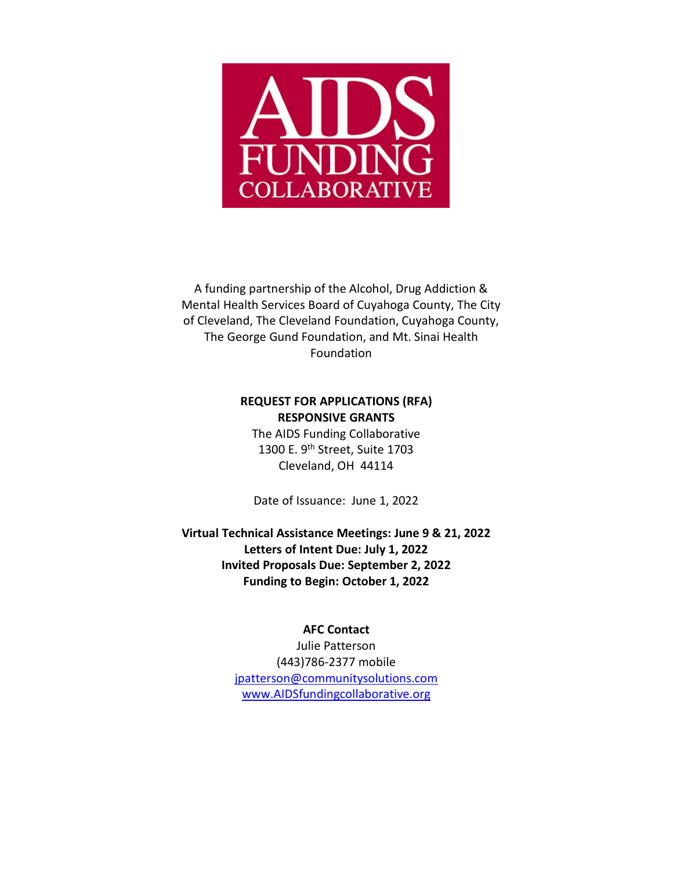

A funding partnership of the Alcohol, Drug Addiction & Mental Health Services Board of Cuyahoga County, The City of Cleveland, The Cleveland Foundation, Cuyahoga County, The George Gund Foundation, and Mt. Sinai Health Foundation

#### **REQUEST FOR APPLICATIONS (RFA) RESPONSIVE GRANTS**

The AIDS Funding Collaborative 1300 E. 9<sup>th</sup> Street, Suite 1703 Cleveland, OH 44114

Date of Issuance: June 1, 2022

**Virtual Technical Assistance Meetings: June 9 & 21, 2022 Letters of Intent Due: July 1, 2022 Invited Proposals Due: September 2, 2022 Funding to Begin: October 1, 2022**

#### **AFC Contact**

Julie Patterson (443)786-2377 mobile [jpatterson@communitysolutions.com](mailto:jpatterson@communitysolutions.com) [www.AIDSfundingcollaborative.org](http://www.aidsfundingcollaborative.org/)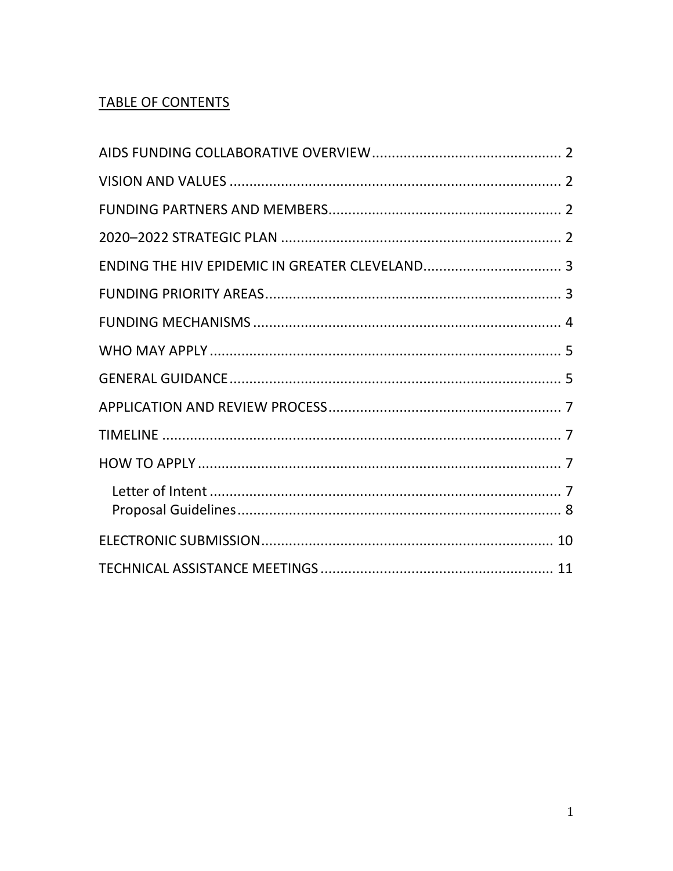# **TABLE OF CONTENTS**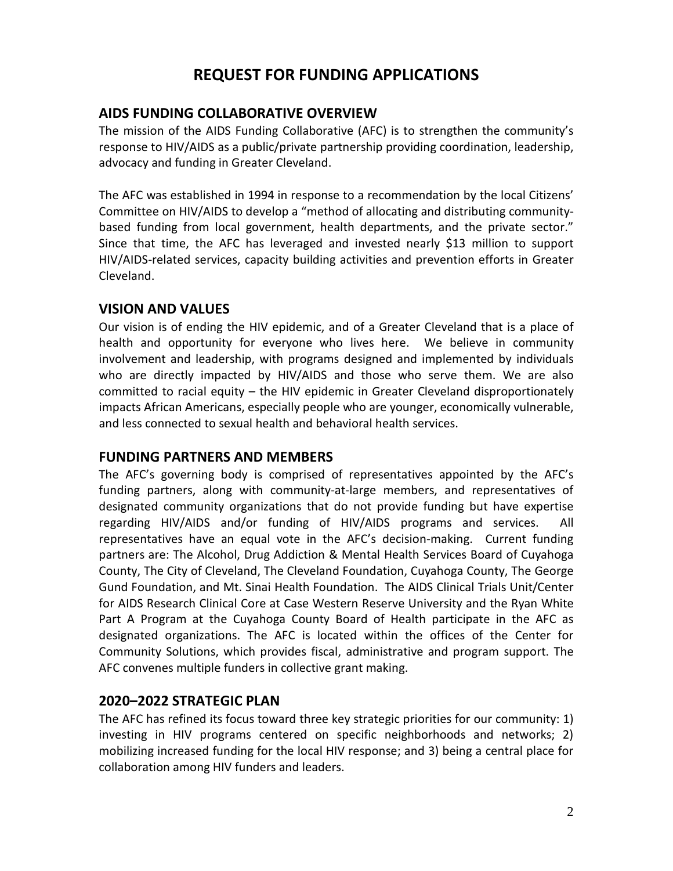# **REQUEST FOR FUNDING APPLICATIONS**

### <span id="page-2-0"></span>**AIDS FUNDING COLLABORATIVE OVERVIEW**

The mission of the AIDS Funding Collaborative (AFC) is to strengthen the community's response to HIV/AIDS as a public/private partnership providing coordination, leadership, advocacy and funding in Greater Cleveland.

The AFC was established in 1994 in response to a recommendation by the local Citizens' Committee on HIV/AIDS to develop a "method of allocating and distributing communitybased funding from local government, health departments, and the private sector." Since that time, the AFC has leveraged and invested nearly \$13 million to support HIV/AIDS-related services, capacity building activities and prevention efforts in Greater Cleveland.

### <span id="page-2-1"></span>**VISION AND VALUES**

Our vision is of ending the HIV epidemic, and of a Greater Cleveland that is a place of health and opportunity for everyone who lives here. We believe in community involvement and leadership, with programs designed and implemented by individuals who are directly impacted by HIV/AIDS and those who serve them. We are also committed to racial equity – the HIV epidemic in Greater Cleveland disproportionately impacts African Americans, especially people who are younger, economically vulnerable, and less connected to sexual health and behavioral health services.

### <span id="page-2-2"></span>**FUNDING PARTNERS AND MEMBERS**

The AFC's governing body is comprised of representatives appointed by the AFC's funding partners, along with community-at-large members, and representatives of designated community organizations that do not provide funding but have expertise regarding HIV/AIDS and/or funding of HIV/AIDS programs and services. All representatives have an equal vote in the AFC's decision-making. Current funding partners are: The Alcohol, Drug Addiction & Mental Health Services Board of Cuyahoga County, The City of Cleveland, The Cleveland Foundation, Cuyahoga County, The George Gund Foundation, and Mt. Sinai Health Foundation. The AIDS Clinical Trials Unit/Center for AIDS Research Clinical Core at Case Western Reserve University and the Ryan White Part A Program at the Cuyahoga County Board of Health participate in the AFC as designated organizations. The AFC is located within the offices of the Center for Community Solutions, which provides fiscal, administrative and program support. The AFC convenes multiple funders in collective grant making.

### <span id="page-2-3"></span>**2020–2022 STRATEGIC PLAN**

The AFC has refined its focus toward three key strategic priorities for our community: 1) investing in HIV programs centered on specific neighborhoods and networks; 2) mobilizing increased funding for the local HIV response; and 3) being a central place for collaboration among HIV funders and leaders.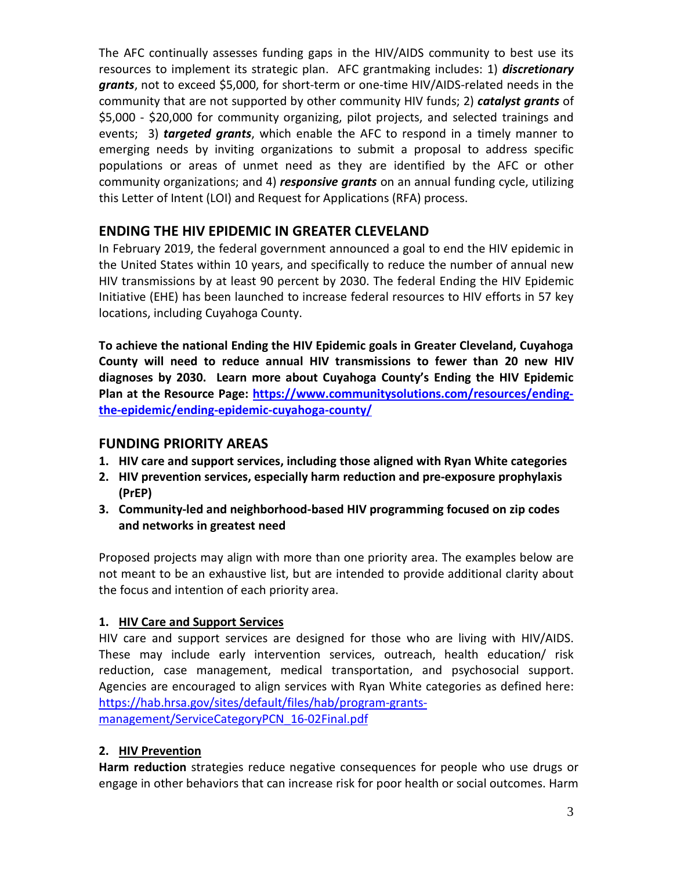The AFC continually assesses funding gaps in the HIV/AIDS community to best use its resources to implement its strategic plan. AFC grantmaking includes: 1) *discretionary grants*, not to exceed \$5,000, for short-term or one-time HIV/AIDS-related needs in the community that are not supported by other community HIV funds; 2) *catalyst grants* of \$5,000 - \$20,000 for community organizing, pilot projects, and selected trainings and events; 3) *targeted grants*, which enable the AFC to respond in a timely manner to emerging needs by inviting organizations to submit a proposal to address specific populations or areas of unmet need as they are identified by the AFC or other community organizations; and 4) *responsive grants* on an annual funding cycle, utilizing this Letter of Intent (LOI) and Request for Applications (RFA) process.

# <span id="page-3-0"></span>**ENDING THE HIV EPIDEMIC IN GREATER CLEVELAND**

In February 2019, the federal government announced a goal to end the HIV epidemic in the United States within 10 years, and specifically to reduce the number of annual new HIV transmissions by at least 90 percent by 2030. The federal Ending the HIV Epidemic Initiative (EHE) has been launched to increase federal resources to HIV efforts in 57 key locations, including Cuyahoga County.

**To achieve the national Ending the HIV Epidemic goals in Greater Cleveland, Cuyahoga County will need to reduce annual HIV transmissions to fewer than 20 new HIV diagnoses by 2030. Learn more about Cuyahoga County's Ending the HIV Epidemic Plan at the Resource Page: [https://www.communitysolutions.com/resources/ending](https://www.communitysolutions.com/resources/ending-the-epidemic/ending-epidemic-cuyahoga-county/)[the-epidemic/ending-epidemic-cuyahoga-county/](https://www.communitysolutions.com/resources/ending-the-epidemic/ending-epidemic-cuyahoga-county/)**

## <span id="page-3-1"></span>**FUNDING PRIORITY AREAS**

- **1. HIV care and support services, including those aligned with Ryan White categories**
- **2. HIV prevention services, especially harm reduction and pre-exposure prophylaxis (PrEP)**
- **3. Community-led and neighborhood-based HIV programming focused on zip codes and networks in greatest need**

Proposed projects may align with more than one priority area. The examples below are not meant to be an exhaustive list, but are intended to provide additional clarity about the focus and intention of each priority area.

### **1. HIV Care and Support Services**

HIV care and support services are designed for those who are living with HIV/AIDS. These may include early intervention services, outreach, health education/ risk reduction, case management, medical transportation, and psychosocial support. Agencies are encouraged to align services with Ryan White categories as defined here: [https://hab.hrsa.gov/sites/default/files/hab/program-grants](https://hab.hrsa.gov/sites/default/files/hab/program-grants-management/ServiceCategoryPCN_16-02Final.pdf)[management/ServiceCategoryPCN\\_16-02Final.pdf](https://hab.hrsa.gov/sites/default/files/hab/program-grants-management/ServiceCategoryPCN_16-02Final.pdf)

# **2. HIV Prevention**

**Harm reduction** strategies reduce negative consequences for people who use drugs or engage in other behaviors that can increase risk for poor health or social outcomes. Harm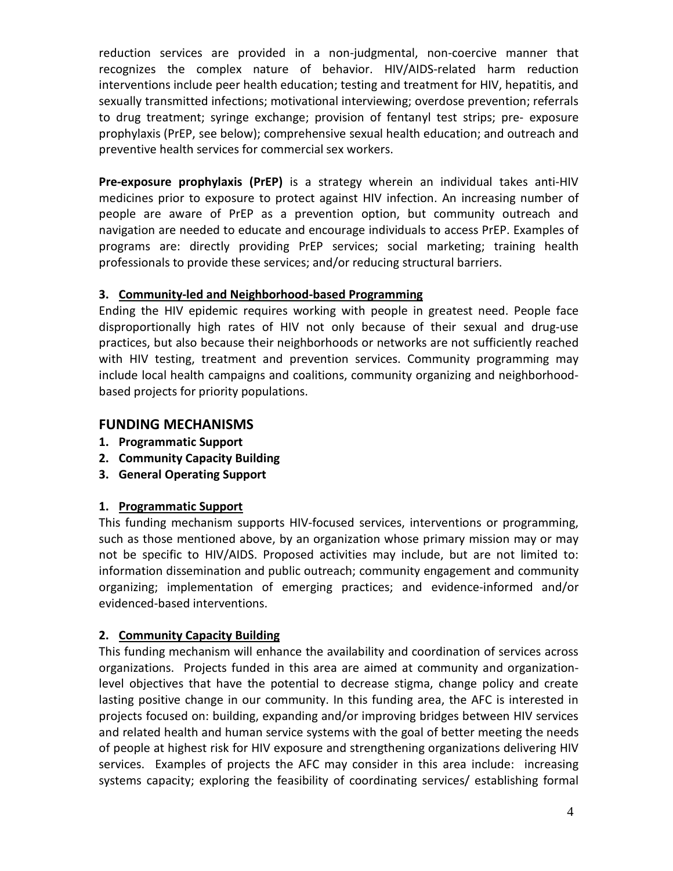reduction services are provided in a non-judgmental, non-coercive manner that recognizes the complex nature of behavior. HIV/AIDS-related harm reduction interventions include peer health education; testing and treatment for HIV, hepatitis, and sexually transmitted infections; motivational interviewing; overdose prevention; referrals to drug treatment; syringe exchange; provision of fentanyl test strips; pre- exposure prophylaxis (PrEP, see below); comprehensive sexual health education; and outreach and preventive health services for commercial sex workers.

**Pre-exposure prophylaxis (PrEP)** is a strategy wherein an individual takes anti-HIV medicines prior to exposure to protect against HIV infection. An increasing number of people are aware of PrEP as a prevention option, but community outreach and navigation are needed to educate and encourage individuals to access PrEP. Examples of programs are: directly providing PrEP services; social marketing; training health professionals to provide these services; and/or reducing structural barriers.

## **3. Community-led and Neighborhood-based Programming**

Ending the HIV epidemic requires working with people in greatest need. People face disproportionally high rates of HIV not only because of their sexual and drug-use practices, but also because their neighborhoods or networks are not sufficiently reached with HIV testing, treatment and prevention services. Community programming may include local health campaigns and coalitions, community organizing and neighborhoodbased projects for priority populations.

# <span id="page-4-0"></span>**FUNDING MECHANISMS**

- **1. Programmatic Support**
- **2. Community Capacity Building**
- **3. General Operating Support**

## **1. Programmatic Support**

This funding mechanism supports HIV-focused services, interventions or programming, such as those mentioned above, by an organization whose primary mission may or may not be specific to HIV/AIDS. Proposed activities may include, but are not limited to: information dissemination and public outreach; community engagement and community organizing; implementation of emerging practices; and evidence-informed and/or evidenced-based interventions.

## **2. Community Capacity Building**

This funding mechanism will enhance the availability and coordination of services across organizations. Projects funded in this area are aimed at community and organizationlevel objectives that have the potential to decrease stigma, change policy and create lasting positive change in our community. In this funding area, the AFC is interested in projects focused on: building, expanding and/or improving bridges between HIV services and related health and human service systems with the goal of better meeting the needs of people at highest risk for HIV exposure and strengthening organizations delivering HIV services. Examples of projects the AFC may consider in this area include: increasing systems capacity; exploring the feasibility of coordinating services/ establishing formal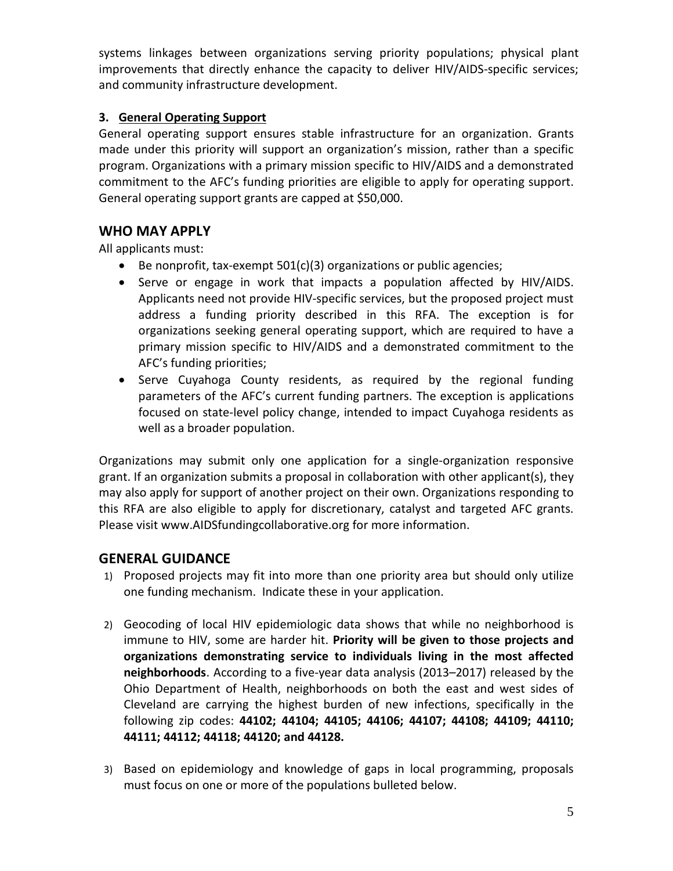systems linkages between organizations serving priority populations; physical plant improvements that directly enhance the capacity to deliver HIV/AIDS-specific services; and community infrastructure development.

# **3. General Operating Support**

General operating support ensures stable infrastructure for an organization. Grants made under this priority will support an organization's mission, rather than a specific program. Organizations with a primary mission specific to HIV/AIDS and a demonstrated commitment to the AFC's funding priorities are eligible to apply for operating support. General operating support grants are capped at \$50,000.

# <span id="page-5-0"></span>**WHO MAY APPLY**

All applicants must:

- Be nonprofit, tax-exempt 501(c)(3) organizations or public agencies;
- Serve or engage in work that impacts a population affected by HIV/AIDS. Applicants need not provide HIV-specific services, but the proposed project must address a funding priority described in this RFA. The exception is for organizations seeking general operating support, which are required to have a primary mission specific to HIV/AIDS and a demonstrated commitment to the AFC's funding priorities;
- Serve Cuyahoga County residents, as required by the regional funding parameters of the AFC's current funding partners. The exception is applications focused on state-level policy change, intended to impact Cuyahoga residents as well as a broader population.

Organizations may submit only one application for a single-organization responsive grant. If an organization submits a proposal in collaboration with other applicant(s), they may also apply for support of another project on their own. Organizations responding to this RFA are also eligible to apply for discretionary, catalyst and targeted AFC grants. Please visit www.AIDSfundingcollaborative.org for more information.

# <span id="page-5-1"></span>**GENERAL GUIDANCE**

- 1) Proposed projects may fit into more than one priority area but should only utilize one funding mechanism. Indicate these in your application.
- 2) Geocoding of local HIV epidemiologic data shows that while no neighborhood is immune to HIV, some are harder hit. **Priority will be given to those projects and organizations demonstrating service to individuals living in the most affected neighborhoods**. According to a five-year data analysis (2013–2017) released by the Ohio Department of Health, neighborhoods on both the east and west sides of Cleveland are carrying the highest burden of new infections, specifically in the following zip codes: **44102; 44104; 44105; 44106; 44107; 44108; 44109; 44110; 44111; 44112; 44118; 44120; and 44128.**
- 3) Based on epidemiology and knowledge of gaps in local programming, proposals must focus on one or more of the populations bulleted below.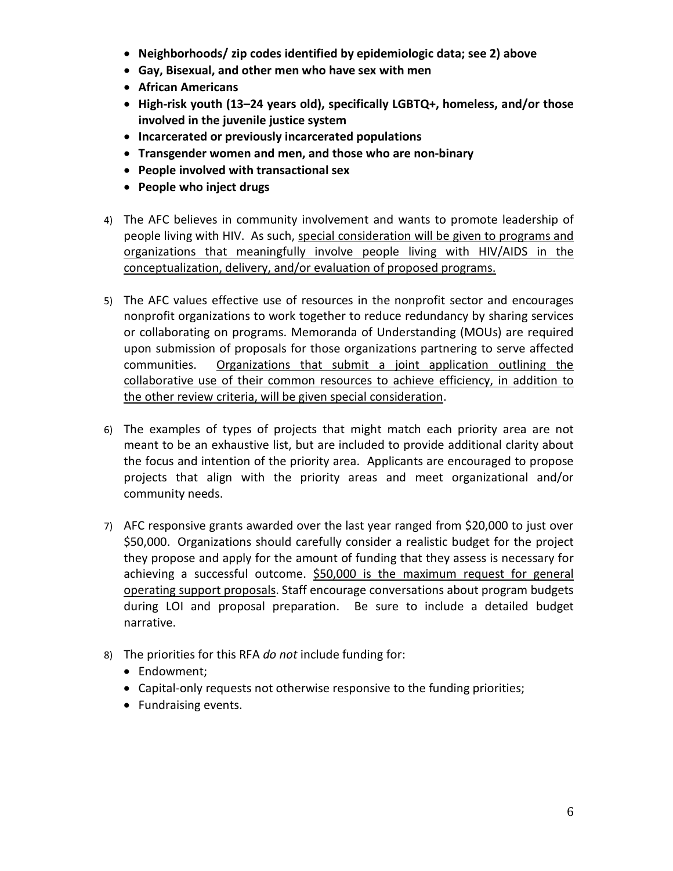- **Neighborhoods/ zip codes identified by epidemiologic data; see 2) above**
- **Gay, Bisexual, and other men who have sex with men**
- **African Americans**
- **High-risk youth (13–24 years old), specifically LGBTQ+, homeless, and/or those involved in the juvenile justice system**
- **Incarcerated or previously incarcerated populations**
- **Transgender women and men, and those who are non-binary**
- **People involved with transactional sex**
- **People who inject drugs**
- 4) The AFC believes in community involvement and wants to promote leadership of people living with HIV. As such, special consideration will be given to programs and organizations that meaningfully involve people living with HIV/AIDS in the conceptualization, delivery, and/or evaluation of proposed programs.
- 5) The AFC values effective use of resources in the nonprofit sector and encourages nonprofit organizations to work together to reduce redundancy by sharing services or collaborating on programs. Memoranda of Understanding (MOUs) are required upon submission of proposals for those organizations partnering to serve affected communities. Organizations that submit a joint application outlining the collaborative use of their common resources to achieve efficiency, in addition to the other review criteria, will be given special consideration.
- 6) The examples of types of projects that might match each priority area are not meant to be an exhaustive list, but are included to provide additional clarity about the focus and intention of the priority area. Applicants are encouraged to propose projects that align with the priority areas and meet organizational and/or community needs.
- 7) AFC responsive grants awarded over the last year ranged from \$20,000 to just over \$50,000. Organizations should carefully consider a realistic budget for the project they propose and apply for the amount of funding that they assess is necessary for achieving a successful outcome. \$50,000 is the maximum request for general operating support proposals. Staff encourage conversations about program budgets during LOI and proposal preparation. Be sure to include a detailed budget narrative.
- 8) The priorities for this RFA *do not* include funding for:
	- Endowment;
	- Capital-only requests not otherwise responsive to the funding priorities;
	- Fundraising events.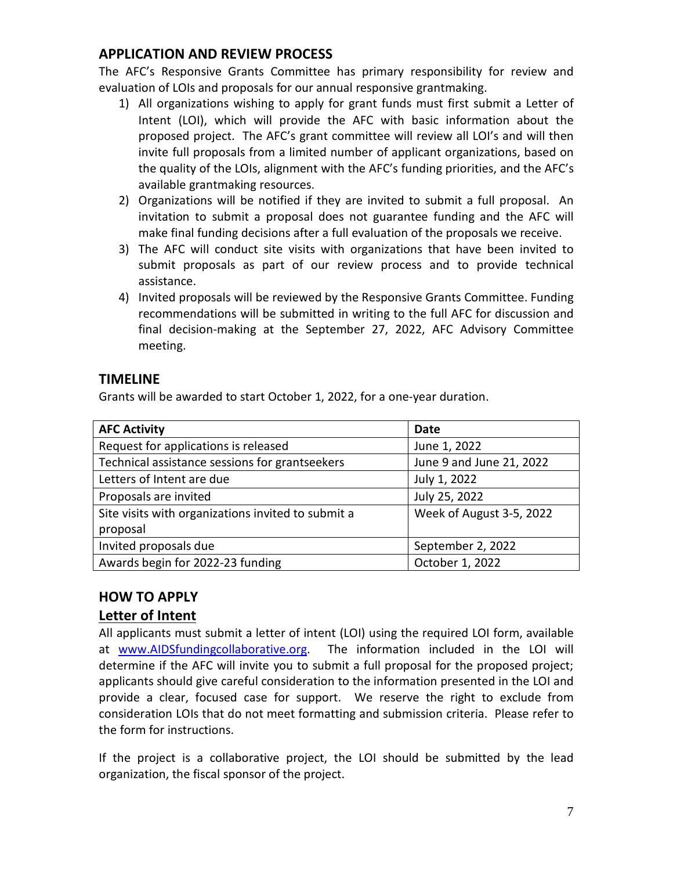# <span id="page-7-0"></span>**APPLICATION AND REVIEW PROCESS**

The AFC's Responsive Grants Committee has primary responsibility for review and evaluation of LOIs and proposals for our annual responsive grantmaking.

- 1) All organizations wishing to apply for grant funds must first submit a Letter of Intent (LOI), which will provide the AFC with basic information about the proposed project. The AFC's grant committee will review all LOI's and will then invite full proposals from a limited number of applicant organizations, based on the quality of the LOIs, alignment with the AFC's funding priorities, and the AFC's available grantmaking resources.
- 2) Organizations will be notified if they are invited to submit a full proposal. An invitation to submit a proposal does not guarantee funding and the AFC will make final funding decisions after a full evaluation of the proposals we receive.
- 3) The AFC will conduct site visits with organizations that have been invited to submit proposals as part of our review process and to provide technical assistance.
- 4) Invited proposals will be reviewed by the Responsive Grants Committee. Funding recommendations will be submitted in writing to the full AFC for discussion and final decision-making at the September 27, 2022, AFC Advisory Committee meeting.

# <span id="page-7-1"></span>**TIMELINE**

Grants will be awarded to start October 1, 2022, for a one-year duration.

| <b>AFC Activity</b>                                | Date                     |
|----------------------------------------------------|--------------------------|
| Request for applications is released               | June 1, 2022             |
| Technical assistance sessions for grantseekers     | June 9 and June 21, 2022 |
| Letters of Intent are due                          | July 1, 2022             |
| Proposals are invited                              | July 25, 2022            |
| Site visits with organizations invited to submit a | Week of August 3-5, 2022 |
| proposal                                           |                          |
| Invited proposals due                              | September 2, 2022        |
| Awards begin for 2022-23 funding                   | October 1, 2022          |

# <span id="page-7-2"></span>**HOW TO APPLY**

# <span id="page-7-3"></span>**Letter of Intent**

All applicants must submit a letter of intent (LOI) using the required LOI form, available at [www.AIDSfundingcollaborative.org.](http://www.aidsfundingcollaborative.org/) The information included in the LOI will determine if the AFC will invite you to submit a full proposal for the proposed project; applicants should give careful consideration to the information presented in the LOI and provide a clear, focused case for support. We reserve the right to exclude from consideration LOIs that do not meet formatting and submission criteria. Please refer to the form for instructions.

If the project is a collaborative project, the LOI should be submitted by the lead organization, the fiscal sponsor of the project.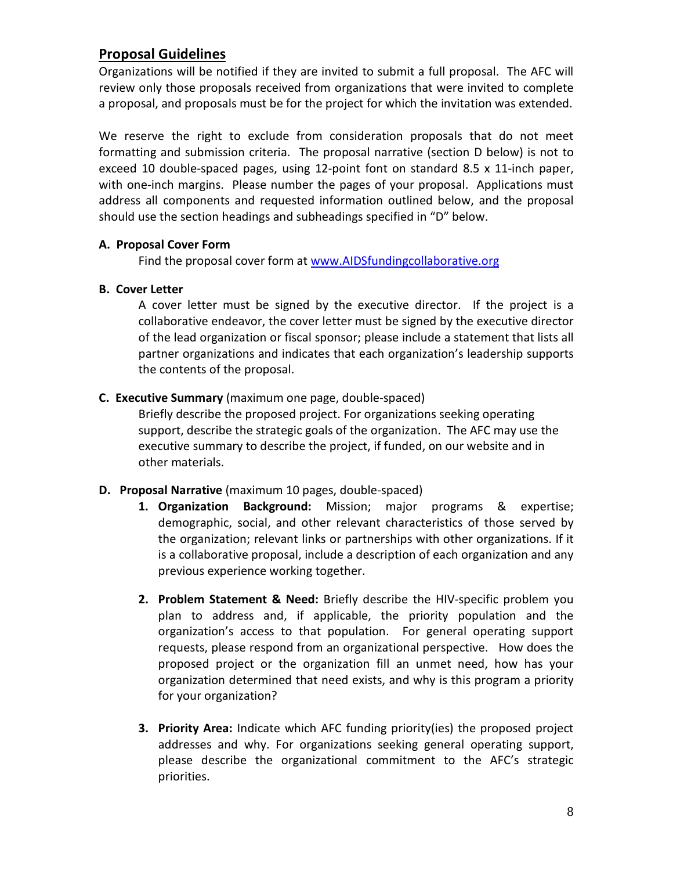# <span id="page-8-0"></span>**Proposal Guidelines**

Organizations will be notified if they are invited to submit a full proposal. The AFC will review only those proposals received from organizations that were invited to complete a proposal, and proposals must be for the project for which the invitation was extended.

We reserve the right to exclude from consideration proposals that do not meet formatting and submission criteria. The proposal narrative (section D below) is not to exceed 10 double-spaced pages, using 12-point font on standard 8.5 x 11-inch paper, with one-inch margins. Please number the pages of your proposal. Applications must address all components and requested information outlined below, and the proposal should use the section headings and subheadings specified in "D" below.

### **A. Proposal Cover Form**

Find the proposal cover form at [www.AIDSfundingcollaborative.org](http://www.aidsfundingcollaborative.org/)

### **B. Cover Letter**

A cover letter must be signed by the executive director. If the project is a collaborative endeavor, the cover letter must be signed by the executive director of the lead organization or fiscal sponsor; please include a statement that lists all partner organizations and indicates that each organization's leadership supports the contents of the proposal.

### **C. Executive Summary** (maximum one page, double-spaced)

Briefly describe the proposed project. For organizations seeking operating support, describe the strategic goals of the organization. The AFC may use the executive summary to describe the project, if funded, on our website and in other materials.

### **D. Proposal Narrative** (maximum 10 pages, double-spaced)

- **1. Organization Background:** Mission; major programs & expertise; demographic, social, and other relevant characteristics of those served by the organization; relevant links or partnerships with other organizations. If it is a collaborative proposal, include a description of each organization and any previous experience working together.
- **2. Problem Statement & Need:** Briefly describe the HIV-specific problem you plan to address and, if applicable, the priority population and the organization's access to that population. For general operating support requests, please respond from an organizational perspective. How does the proposed project or the organization fill an unmet need, how has your organization determined that need exists, and why is this program a priority for your organization?
- **3. Priority Area:** Indicate which AFC funding priority(ies) the proposed project addresses and why. For organizations seeking general operating support, please describe the organizational commitment to the AFC's strategic priorities.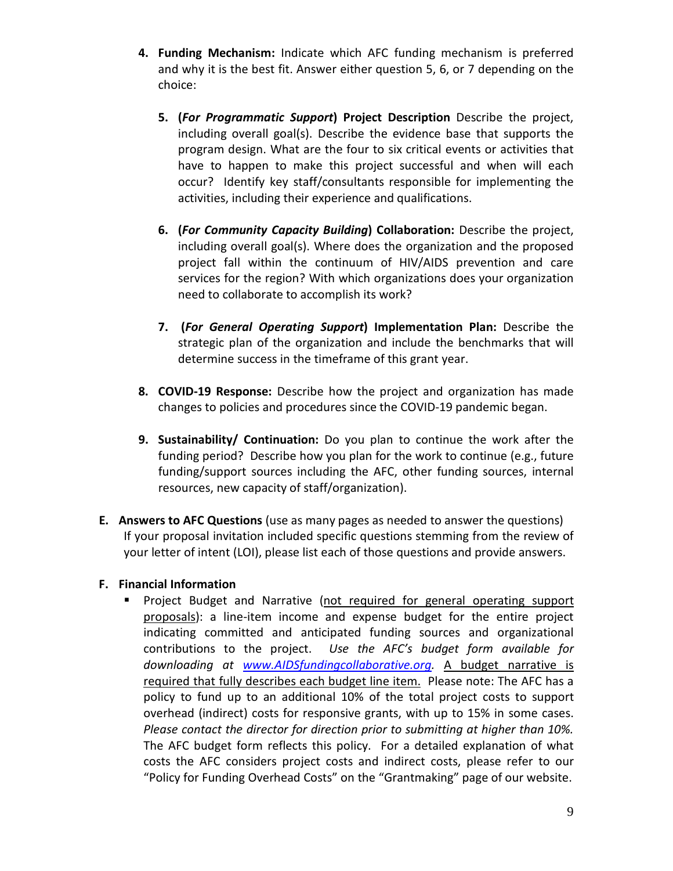- **4. Funding Mechanism:** Indicate which AFC funding mechanism is preferred and why it is the best fit. Answer either question 5, 6, or 7 depending on the choice:
	- **5. (***For Programmatic Support***) Project Description** Describe the project, including overall goal(s). Describe the evidence base that supports the program design. What are the four to six critical events or activities that have to happen to make this project successful and when will each occur? Identify key staff/consultants responsible for implementing the activities, including their experience and qualifications.
	- **6. (***For Community Capacity Building***) Collaboration:** Describe the project, including overall goal(s). Where does the organization and the proposed project fall within the continuum of HIV/AIDS prevention and care services for the region? With which organizations does your organization need to collaborate to accomplish its work?
	- **7. (***For General Operating Support***) Implementation Plan:** Describe the strategic plan of the organization and include the benchmarks that will determine success in the timeframe of this grant year.
- **8. COVID-19 Response:** Describe how the project and organization has made changes to policies and procedures since the COVID-19 pandemic began.
- **9. Sustainability/ Continuation:** Do you plan to continue the work after the funding period? Describe how you plan for the work to continue (e.g., future funding/support sources including the AFC, other funding sources, internal resources, new capacity of staff/organization).
- **E. Answers to AFC Questions** (use as many pages as needed to answer the questions) If your proposal invitation included specific questions stemming from the review of your letter of intent (LOI), please list each of those questions and provide answers.

### **F. Financial Information**

 Project Budget and Narrative (not required for general operating support proposals): a line-item income and expense budget for the entire project indicating committed and anticipated funding sources and organizational contributions to the project. *Use the AFC's budget form available for downloading at [www.AIDSfundingcollaborative.org.](http://www.aidsfundingcollaborative.org/)* A budget narrative is required that fully describes each budget line item. Please note: The AFC has a policy to fund up to an additional 10% of the total project costs to support overhead (indirect) costs for responsive grants, with up to 15% in some cases. *Please contact the director for direction prior to submitting at higher than 10%.* The AFC budget form reflects this policy. For a detailed explanation of what costs the AFC considers project costs and indirect costs, please refer to our "Policy for Funding Overhead Costs" on the "Grantmaking" page of our website.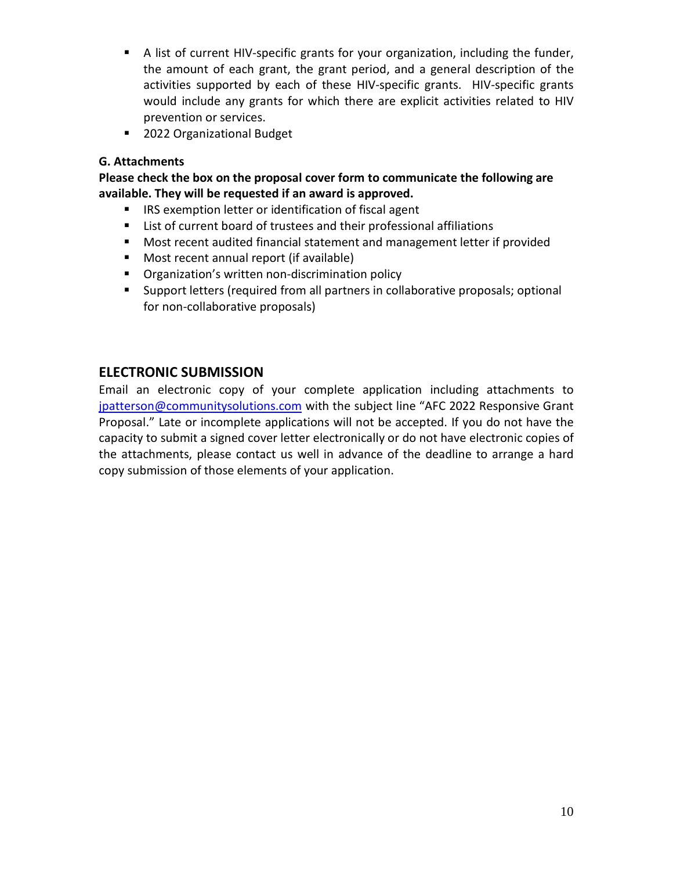- A list of current HIV-specific grants for your organization, including the funder, the amount of each grant, the grant period, and a general description of the activities supported by each of these HIV-specific grants. HIV-specific grants would include any grants for which there are explicit activities related to HIV prevention or services.
- 2022 Organizational Budget

### **G. Attachments**

**Please check the box on the proposal cover form to communicate the following are available. They will be requested if an award is approved.** 

- IRS exemption letter or identification of fiscal agent
- List of current board of trustees and their professional affiliations
- Most recent audited financial statement and management letter if provided
- Most recent annual report (if available)
- **•** Organization's written non-discrimination policy
- Support letters (required from all partners in collaborative proposals; optional for non-collaborative proposals)

# <span id="page-10-0"></span>**ELECTRONIC SUBMISSION**

Email an electronic copy of your complete application including attachments to [jpatterson@communitysolutions.com](mailto:jpatterson@communitysolutions.com) with the subject line "AFC 2022 Responsive Grant Proposal." Late or incomplete applications will not be accepted. If you do not have the capacity to submit a signed cover letter electronically or do not have electronic copies of the attachments, please contact us well in advance of the deadline to arrange a hard copy submission of those elements of your application.